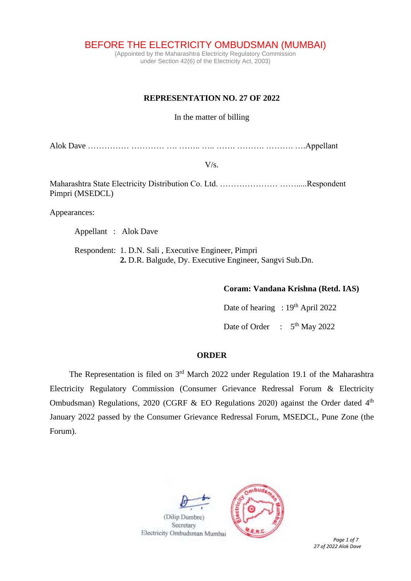BEFORE THE ELECTRICITY OMBUDSMAN (MUMBAI)

(Appointed by the Maharashtra Electricity Regulatory Commission under Section 42(6) of the Electricity Act, 2003)

### **REPRESENTATION NO. 27 OF 2022**

In the matter of billing

Alok Dave …………… ………… …. …….. ….. ……. ………. ………. ….Appellant

 $V/s$ .

Maharashtra State Electricity Distribution Co. Ltd. ………………… …….....Respondent Pimpri (MSEDCL)

Appearances:

Appellant : Alok Dave

Respondent: 1. D.N. Sali , Executive Engineer, Pimpri  **2.** D.R. Balgude, Dy. Executive Engineer, Sangvi Sub.Dn.

#### **Coram: Vandana Krishna (Retd. IAS)**

Date of hearing : 19<sup>th</sup> April 2022 Date of Order : 5<sup>th</sup> May 2022

#### **ORDER**

The Representation is filed on  $3<sup>rd</sup>$  March 2022 under Regulation 19.1 of the Maharashtra Electricity Regulatory Commission (Consumer Grievance Redressal Forum & Electricity Ombudsman) Regulations, 2020 (CGRF & EO Regulations 2020) against the Order dated  $4<sup>th</sup>$ January 2022 passed by the Consumer Grievance Redressal Forum, MSEDCL, Pune Zone (the Forum).

(Dilip Dumbre) Secretary Electricity Ombudsman Mumbai



*27 of 2022 Alok Dave*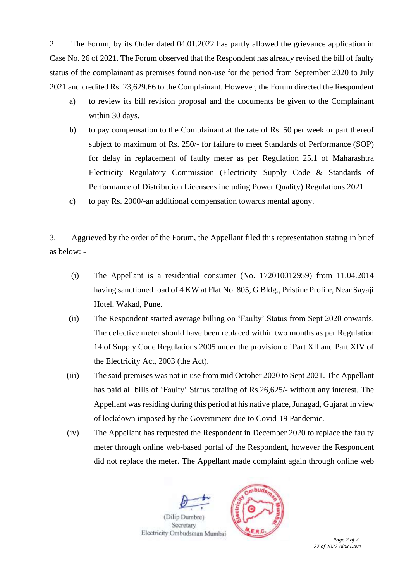2. The Forum, by its Order dated 04.01.2022 has partly allowed the grievance application in Case No. 26 of 2021. The Forum observed that the Respondent has already revised the bill of faulty status of the complainant as premises found non-use for the period from September 2020 to July 2021 and credited Rs. 23,629.66 to the Complainant. However, the Forum directed the Respondent

- a) to review its bill revision proposal and the documents be given to the Complainant within 30 days.
- b) to pay compensation to the Complainant at the rate of Rs. 50 per week or part thereof subject to maximum of Rs. 250/- for failure to meet Standards of Performance (SOP) for delay in replacement of faulty meter as per Regulation 25.1 of Maharashtra Electricity Regulatory Commission (Electricity Supply Code & Standards of Performance of Distribution Licensees including Power Quality) Regulations 2021
- c) to pay Rs. 2000/-an additional compensation towards mental agony.

3. Aggrieved by the order of the Forum, the Appellant filed this representation stating in brief as below: -

- (i) The Appellant is a residential consumer (No. 172010012959) from 11.04.2014 having sanctioned load of 4 KW at Flat No. 805, G Bldg., Pristine Profile, Near Sayaji Hotel, Wakad, Pune.
- (ii) The Respondent started average billing on 'Faulty' Status from Sept 2020 onwards. The defective meter should have been replaced within two months as per Regulation 14 of Supply Code Regulations 2005 under the provision of Part XII and Part XIV of the Electricity Act, 2003 (the Act).
- (iii) The said premises was not in use from mid October 2020 to Sept 2021. The Appellant has paid all bills of 'Faulty' Status totaling of Rs.26,625/- without any interest. The Appellant was residing during this period at his native place, Junagad, Gujarat in view of lockdown imposed by the Government due to Covid-19 Pandemic.
- (iv) The Appellant has requested the Respondent in December 2020 to replace the faulty meter through online web-based portal of the Respondent, however the Respondent did not replace the meter. The Appellant made complaint again through online web

(Dilip Dumbre

Secretary Electricity Ombudsman Mumbai



*Page 2 of 7 27 of 2022 Alok Dave*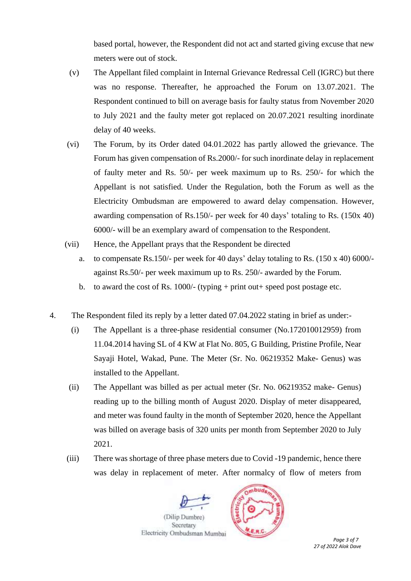based portal, however, the Respondent did not act and started giving excuse that new meters were out of stock.

- (v) The Appellant filed complaint in Internal Grievance Redressal Cell (IGRC) but there was no response. Thereafter, he approached the Forum on 13.07.2021. The Respondent continued to bill on average basis for faulty status from November 2020 to July 2021 and the faulty meter got replaced on 20.07.2021 resulting inordinate delay of 40 weeks.
- (vi) The Forum, by its Order dated 04.01.2022 has partly allowed the grievance. The Forum has given compensation of Rs.2000/- for such inordinate delay in replacement of faulty meter and Rs. 50/- per week maximum up to Rs. 250/- for which the Appellant is not satisfied. Under the Regulation, both the Forum as well as the Electricity Ombudsman are empowered to award delay compensation. However, awarding compensation of Rs.150/- per week for 40 days' totaling to Rs. (150x 40) 6000/- will be an exemplary award of compensation to the Respondent.
- (vii) Hence, the Appellant prays that the Respondent be directed
	- a. to compensate Rs.150/- per week for 40 days' delay totaling to Rs. (150 x 40) 6000/ against Rs.50/- per week maximum up to Rs. 250/- awarded by the Forum.
	- b. to award the cost of Rs. 1000/- (typing + print out + speed post postage etc.
- 4. The Respondent filed its reply by a letter dated 07.04.2022 stating in brief as under:-
	- (i) The Appellant is a three-phase residential consumer (No.172010012959) from 11.04.2014 having SL of 4 KW at Flat No. 805, G Building, Pristine Profile, Near Sayaji Hotel, Wakad, Pune. The Meter (Sr. No. 06219352 Make- Genus) was installed to the Appellant.
	- (ii) The Appellant was billed as per actual meter (Sr. No. 06219352 make- Genus) reading up to the billing month of August 2020. Display of meter disappeared, and meter was found faulty in the month of September 2020, hence the Appellant was billed on average basis of 320 units per month from September 2020 to July 2021.
	- (iii) There was shortage of three phase meters due to Covid -19 pandemic, hence there was delay in replacement of meter. After normalcy of flow of meters from

(Dilip Dumbre) Secretary

Electricity Ombudsman Mumbai



*Page 3 of 7 27 of 2022 Alok Dave*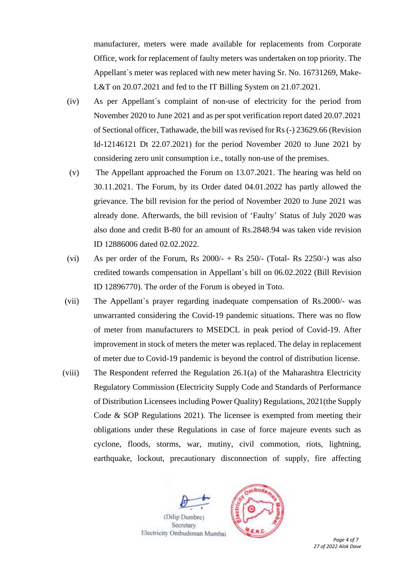manufacturer, meters were made available for replacements from Corporate Office, work for replacement of faulty meters was undertaken on top priority. The Appellant`s meter was replaced with new meter having Sr. No. 16731269, Make-L&T on 20.07.2021 and fed to the IT Billing System on 21.07.2021.

- (iv) As per Appellant`s complaint of non-use of electricity for the period from November 2020 to June 2021 and as per spot verification report dated 20.07.2021 of Sectional officer, Tathawade, the bill was revised for Rs (-) 23629.66 (Revision Id-12146121 Dt 22.07.2021) for the period November 2020 to June 2021 by considering zero unit consumption i.e., totally non-use of the premises.
- (v) The Appellant approached the Forum on 13.07.2021. The hearing was held on 30.11.2021. The Forum, by its Order dated 04.01.2022 has partly allowed the grievance. The bill revision for the period of November 2020 to June 2021 was already done. Afterwards, the bill revision of 'Faulty' Status of July 2020 was also done and credit B-80 for an amount of Rs.2848.94 was taken vide revision ID 12886006 dated 02.02.2022.
- (vi) As per order of the Forum, Rs  $2000/ +$  Rs  $250/$  (Total- Rs  $2250/$ -) was also credited towards compensation in Appellant`s bill on 06.02.2022 (Bill Revision ID 12896770). The order of the Forum is obeyed in Toto.
- (vii) The Appellant`s prayer regarding inadequate compensation of Rs.2000/- was unwarranted considering the Covid-19 pandemic situations. There was no flow of meter from manufacturers to MSEDCL in peak period of Covid-19. After improvement in stock of meters the meter was replaced. The delay in replacement of meter due to Covid-19 pandemic is beyond the control of distribution license.
- (viii) The Respondent referred the Regulation 26.1(a) of the Maharashtra Electricity Regulatory Commission (Electricity Supply Code and Standards of Performance of Distribution Licensees including Power Quality) Regulations, 2021(the Supply Code & SOP Regulations 2021). The licensee is exempted from meeting their obligations under these Regulations in case of force majeure events such as cyclone, floods, storms, war, mutiny, civil commotion, riots, lightning, earthquake, lockout, precautionary disconnection of supply, fire affecting



*Page 4 of 7 27 of 2022 Alok Dave*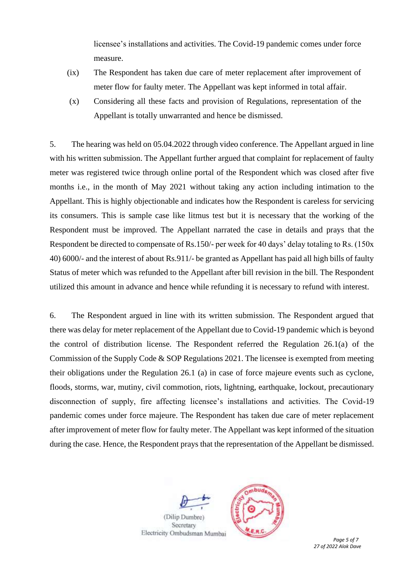licensee's installations and activities. The Covid-19 pandemic comes under force measure.

- (ix) The Respondent has taken due care of meter replacement after improvement of meter flow for faulty meter. The Appellant was kept informed in total affair.
- (x) Considering all these facts and provision of Regulations, representation of the Appellant is totally unwarranted and hence be dismissed.

5. The hearing was held on 05.04.2022 through video conference. The Appellant argued in line with his written submission. The Appellant further argued that complaint for replacement of faulty meter was registered twice through online portal of the Respondent which was closed after five months i.e., in the month of May 2021 without taking any action including intimation to the Appellant. This is highly objectionable and indicates how the Respondent is careless for servicing its consumers. This is sample case like litmus test but it is necessary that the working of the Respondent must be improved. The Appellant narrated the case in details and prays that the Respondent be directed to compensate of Rs.150/- per week for 40 days' delay totaling to Rs. (150x 40) 6000/- and the interest of about Rs.911/- be granted as Appellant has paid all high bills of faulty Status of meter which was refunded to the Appellant after bill revision in the bill. The Respondent utilized this amount in advance and hence while refunding it is necessary to refund with interest.

6. The Respondent argued in line with its written submission. The Respondent argued that there was delay for meter replacement of the Appellant due to Covid-19 pandemic which is beyond the control of distribution license. The Respondent referred the Regulation 26.1(a) of the Commission of the Supply Code & SOP Regulations 2021. The licensee is exempted from meeting their obligations under the Regulation 26.1 (a) in case of force majeure events such as cyclone, floods, storms, war, mutiny, civil commotion, riots, lightning, earthquake, lockout, precautionary disconnection of supply, fire affecting licensee's installations and activities. The Covid-19 pandemic comes under force majeure. The Respondent has taken due care of meter replacement after improvement of meter flow for faulty meter. The Appellant was kept informed of the situation during the case. Hence, the Respondent prays that the representation of the Appellant be dismissed.



*Page 5 of 7 27 of 2022 Alok Dave*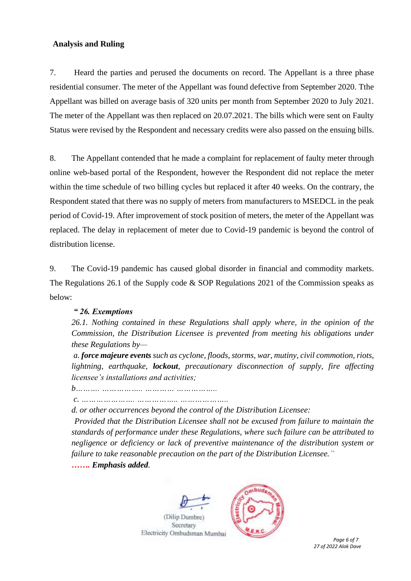## **Analysis and Ruling**

7. Heard the parties and perused the documents on record. The Appellant is a three phase residential consumer. The meter of the Appellant was found defective from September 2020. Tthe Appellant was billed on average basis of 320 units per month from September 2020 to July 2021. The meter of the Appellant was then replaced on 20.07.2021. The bills which were sent on Faulty Status were revised by the Respondent and necessary credits were also passed on the ensuing bills.

8. The Appellant contended that he made a complaint for replacement of faulty meter through online web-based portal of the Respondent, however the Respondent did not replace the meter within the time schedule of two billing cycles but replaced it after 40 weeks. On the contrary, the Respondent stated that there was no supply of meters from manufacturers to MSEDCL in the peak period of Covid-19. After improvement of stock position of meters, the meter of the Appellant was replaced. The delay in replacement of meter due to Covid-19 pandemic is beyond the control of distribution license.

9. The Covid-19 pandemic has caused global disorder in financial and commodity markets. The Regulations 26.1 of the Supply code & SOP Regulations 2021 of the Commission speaks as below:

# *" 26. Exemptions*

*26.1. Nothing contained in these Regulations shall apply where, in the opinion of the Commission, the Distribution Licensee is prevented from meeting his obligations under these Regulations by—*

*a. force majeure events such as cyclone, floods, storms, war, mutiny, civil commotion, riots, lightning, earthquake, lockout, precautionary disconnection of supply, fire affecting licensee's installations and activities;* 

*b………. …………….. ………… ……………..*

*c. …………………. …………….. ………………..* 

*d. or other occurrences beyond the control of the Distribution Licensee:* 

*Provided that the Distribution Licensee shall not be excused from failure to maintain the standards of performance under these Regulations, where such failure can be attributed to negligence or deficiency or lack of preventive maintenance of the distribution system or failure to take reasonable precaution on the part of the Distribution Licensee." ……. Emphasis added.*



 *Page 6 of 7 27 of 2022 Alok Dave*